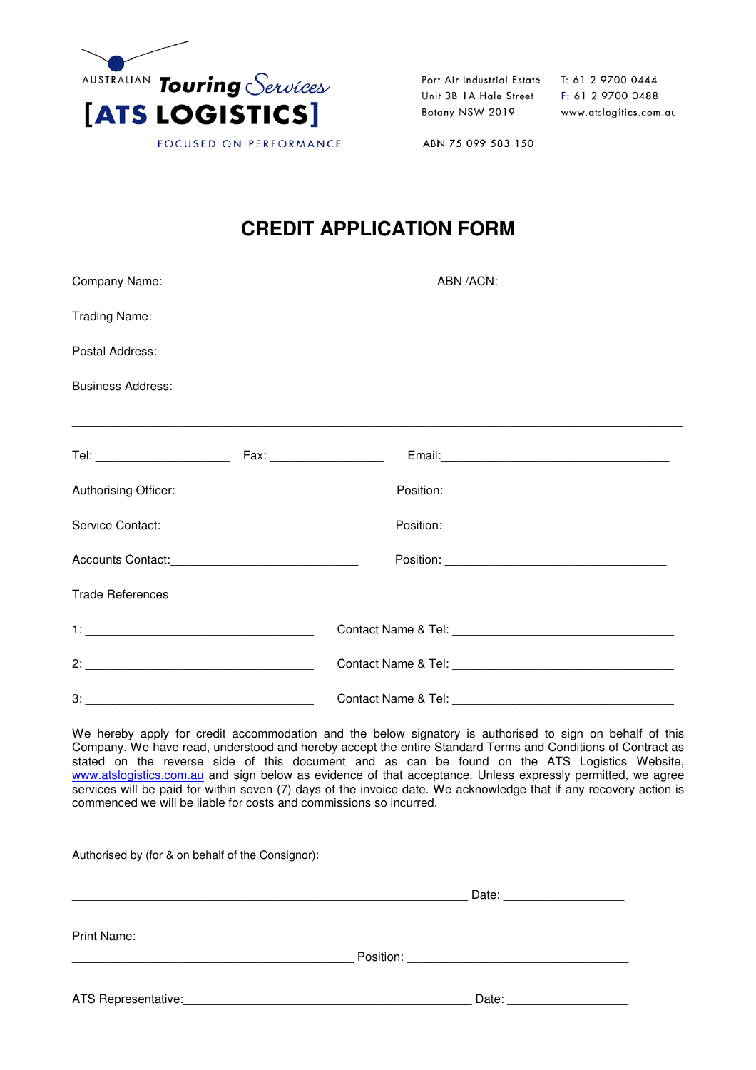

Port Air Industrial Estate Unit 3B 1A Hale Street Botany NSW 2019

T: 61 2 9700 0444 F: 61 2 9700 0488 www.atslogitics.com.au

ABN 75 099 583 150

# **CREDIT APPLICATION FORM**

|                         |  | Business Address: <u>Communications</u> Constant Constant Constant Constant Constant Constant Constant Constant Constant Constant Constant Constant Constant Constant Constant Constant Constant Constant Constant Constant Constan |  |
|-------------------------|--|-------------------------------------------------------------------------------------------------------------------------------------------------------------------------------------------------------------------------------------|--|
|                         |  |                                                                                                                                                                                                                                     |  |
|                         |  |                                                                                                                                                                                                                                     |  |
|                         |  |                                                                                                                                                                                                                                     |  |
|                         |  |                                                                                                                                                                                                                                     |  |
| <b>Trade References</b> |  |                                                                                                                                                                                                                                     |  |
|                         |  |                                                                                                                                                                                                                                     |  |
|                         |  |                                                                                                                                                                                                                                     |  |
|                         |  |                                                                                                                                                                                                                                     |  |

We hereby apply for credit accommodation and the below signatory is authorised to sign on behalf of this Company. We have read, understood and hereby accept the entire Standard Terms and Conditions of Contract as stated on the reverse side of this document and as can be found on the ATS Logistics Website, www.atslogistics.com.au and sign below as evidence of that acceptance. Unless expressly permitted, we agree services will be paid for within seven (7) days of the invoice date. We acknowledge that if any recovery action is commenced we will be liable for costs and commissions so incurred.

Authorised by (for & on behalf of the Consignor):

|                     |                               | Date: |
|---------------------|-------------------------------|-------|
| Print Name:         |                               |       |
|                     | Position: ___________________ |       |
| ATS Representative: |                               | Date: |